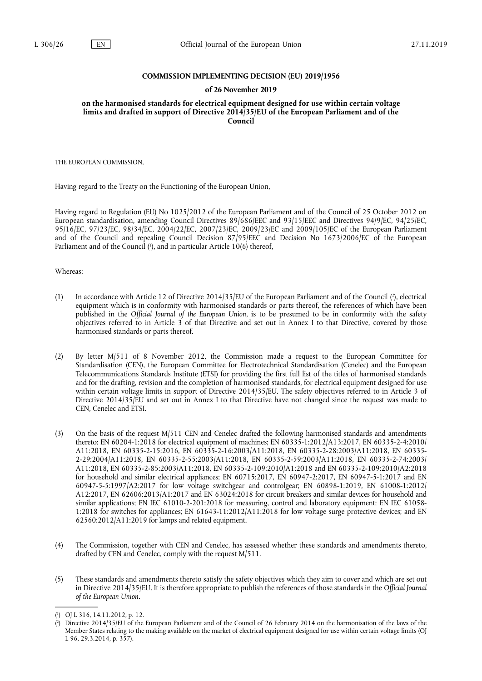#### **COMMISSION IMPLEMENTING DECISION (EU) 2019/1956**

#### **of 26 November 2019**

**on the harmonised standards for electrical equipment designed for use within certain voltage limits and drafted in support of Directive 2014/35/EU of the European Parliament and of the Council** 

THE EUROPEAN COMMISSION,

Having regard to the Treaty on the Functioning of the European Union,

Having regard to Regulation (EU) No 1025/2012 of the European Parliament and of the Council of 25 October 2012 on European standardisation, amending Council Directives 89/686/EEC and 93/15/EEC and Directives 94/9/EC, 94/25/EC, 95/16/EC, 97/23/EC, 98/34/EC, 2004/22/EC, 2007/23/EC, 2009/23/EC and 2009/105/EC of the European Parliament and of the Council and repealing Council Decision 87/95/EEC and Decision No 1673/2006/EC of the European Parliament and of the Council (<sup>1</sup>), and in particular Article 10(6) thereof,

Whereas:

- (1) In accordance with Article 12 of Directive 2014/35/EU of the European Parliament and of the Council  $(2)$ , electrical equipment which is in conformity with harmonised standards or parts thereof, the references of which have been published in the *Official Journal of the European Union*, is to be presumed to be in conformity with the safety objectives referred to in Article 3 of that Directive and set out in Annex I to that Directive, covered by those harmonised standards or parts thereof.
- (2) By letter M/511 of 8 November 2012, the Commission made a request to the European Committee for Standardisation (CEN), the European Committee for Electrotechnical Standardisation (Cenelec) and the European Telecommunications Standards Institute (ETSI) for providing the first full list of the titles of harmonised standards and for the drafting, revision and the completion of harmonised standards, for electrical equipment designed for use within certain voltage limits in support of Directive 2014/35/EU. The safety objectives referred to in Article 3 of Directive 2014/35/EU and set out in Annex I to that Directive have not changed since the request was made to CEN, Cenelec and ETSI.
- (3) On the basis of the request M/511 CEN and Cenelec drafted the following harmonised standards and amendments thereto: EN 60204-1:2018 for electrical equipment of machines; EN 60335-1:2012/A13:2017, EN 60335-2-4:2010/ A11:2018, EN 60335-2-15:2016, EN 60335-2-16:2003/A11:2018, EN 60335-2-28:2003/A11:2018, EN 60335- 2-29:2004/A11:2018, EN 60335-2-55:2003/A11:2018, EN 60335-2-59:2003/A11:2018, EN 60335-2-74:2003/ A11:2018, EN 60335-2-85:2003/A11:2018, EN 60335-2-109:2010/A1:2018 and EN 60335-2-109:2010/A2:2018 for household and similar electrical appliances; EN 60715:2017, EN 60947-2:2017, EN 60947-5-1:2017 and EN 60947-5-5:1997/A2:2017 for low voltage switchgear and controlgear; EN 60898-1:2019, EN 61008-1:2012/ A12:2017, EN 62606:2013/A1:2017 and EN 63024:2018 for circuit breakers and similar devices for household and similar applications; EN IEC 61010-2-201:2018 for measuring, control and laboratory equipment; EN IEC 61058- 1:2018 for switches for appliances; EN 61643-11:2012/A11:2018 for low voltage surge protective devices; and EN 62560:2012/A11:2019 for lamps and related equipment.
- (4) The Commission, together with CEN and Cenelec, has assessed whether these standards and amendments thereto, drafted by CEN and Cenelec, comply with the request M/511.
- (5) These standards and amendments thereto satisfy the safety objectives which they aim to cover and which are set out in Directive 2014/35/EU. It is therefore appropriate to publish the references of those standards in the *Official Journal of the European Union.*

<sup>(</sup> 1 ) OJ L 316, 14.11.2012, p. 12.

<sup>(</sup> 2 ) Directive 2014/35/EU of the European Parliament and of the Council of 26 February 2014 on the harmonisation of the laws of the Member States relating to the making available on the market of electrical equipment designed for use within certain voltage limits (OJ L 96, 29.3.2014, p. 357).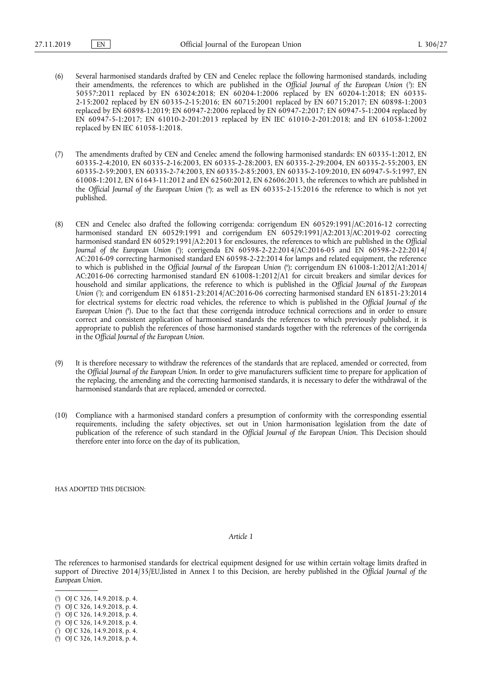- (6) Several harmonised standards drafted by CEN and Cenelec replace the following harmonised standards, including their amendments, the references to which are published in the *Official Journal of the European Union* ( 3 ): EN 50557:2011 replaced by EN 63024:2018; EN 60204-1:2006 replaced by EN 60204-1:2018; EN 60335- 2-15:2002 replaced by EN 60335-2-15:2016; EN 60715:2001 replaced by EN 60715:2017; EN 60898-1:2003 replaced by EN 60898-1:2019; EN 60947-2:2006 replaced by EN 60947-2:2017; EN 60947-5-1:2004 replaced by EN 60947-5-1:2017; EN 61010-2-201:2013 replaced by EN IEC 61010-2-201:2018; and EN 61058-1:2002 replaced by EN IEC 61058-1:2018.
- (7) The amendments drafted by CEN and Cenelec amend the following harmonised standards: EN 60335-1:2012, EN 60335-2-4:2010, EN 60335-2-16:2003, EN 60335-2-28:2003, EN 60335-2-29:2004, EN 60335-2-55:2003, EN 60335-2-59:2003, EN 60335-2-74:2003, EN 60335-2-85:2003, EN 60335-2-109:2010, EN 60947-5-5:1997, EN 61008-1:2012, EN 61643-11:2012 and EN 62560:2012, EN 62606:2013, the references to which are published in the *Official Journal of the European Union* ( 4 ); as well as EN 60335-2-15:2016 the reference to which is not yet published.
- (8) CEN and Cenelec also drafted the following corrigenda: corrigendum EN 60529:1991/AC:2016-12 correcting harmonised standard EN 60529:1991 and corrigendum EN 60529:1991/A2:2013/AC:2019-02 correcting harmonised standard EN 60529:1991/A2:2013 for enclosures, the references to which are published in the *Official Journal of the European Union* ( 5 ); corrigenda EN 60598-2-22:2014/AC:2016-05 and EN 60598-2-22:2014/ AC:2016-09 correcting harmonised standard EN 60598-2-22:2014 for lamps and related equipment, the reference to which is published in the *Official Journal of the European Union* ( 6 ); corrigendum EN 61008-1:2012/A1:2014/ AC:2016-06 correcting harmonised standard EN 61008-1:2012/A1 for circuit breakers and similar devices for household and similar applications, the reference to which is published in the *Official Journal of the European Union* ( 7 ); and corrigendum EN 61851-23:2014/AC:2016-06 correcting harmonised standard EN 61851-23:2014 for electrical systems for electric road vehicles, the reference to which is published in the *Official Journal of the European Union* ( 8 ). Due to the fact that these corrigenda introduce technical corrections and in order to ensure correct and consistent application of harmonised standards the references to which previously published, it is appropriate to publish the references of those harmonised standards together with the references of the corrigenda in the *Official Journal of the European Union*.
- (9) It is therefore necessary to withdraw the references of the standards that are replaced, amended or corrected, from the *Official Journal of the European Union*. In order to give manufacturers sufficient time to prepare for application of the replacing, the amending and the correcting harmonised standards, it is necessary to defer the withdrawal of the harmonised standards that are replaced, amended or corrected.
- (10) Compliance with a harmonised standard confers a presumption of conformity with the corresponding essential requirements, including the safety objectives, set out in Union harmonisation legislation from the date of publication of the reference of such standard in the *Official Journal of the European Union*. This Decision should therefore enter into force on the day of its publication,

HAS ADOPTED THIS DECISION:

#### *Article 1*

The references to harmonised standards for electrical equipment designed for use within certain voltage limits drafted in support of Directive 2014/35/EU,listed in Annex I to this Decision, are hereby published in the *Official Journal of the European Union*.

<sup>(</sup> 3 ) OJ C 326, 14.9.2018, p. 4.

<sup>(</sup> 4 ) OJ C 326, 14.9.2018, p. 4.

<sup>(</sup> 5 ) OJ C 326, 14.9.2018, p. 4.

<sup>(</sup> 6 ) OJ C 326, 14.9.2018, p. 4.

<sup>(</sup> 7 ) OJ C 326, 14.9.2018, p. 4.

<sup>(</sup> 8 ) OJ C 326, 14.9.2018, p. 4.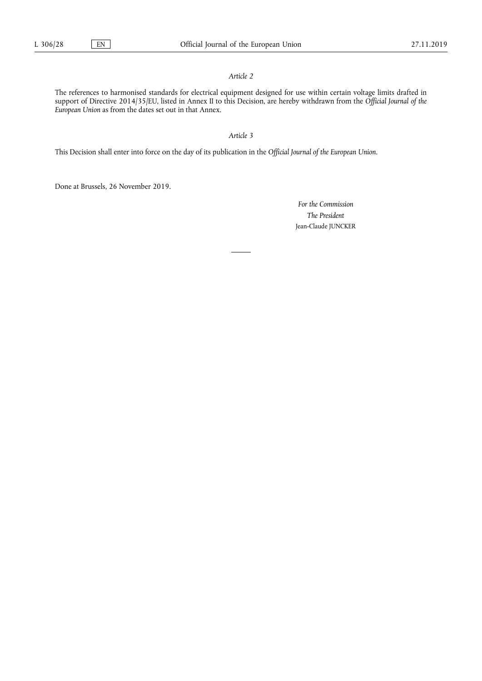# *Article 2*

The references to harmonised standards for electrical equipment designed for use within certain voltage limits drafted in support of Directive 2014/35/EU, listed in Annex II to this Decision, are hereby withdrawn from the *Official Journal of the European Union* as from the dates set out in that Annex.

### *Article 3*

This Decision shall enter into force on the day of its publication in the *Official Journal of the European Union*.

Done at Brussels, 26 November 2019.

*For the Commission The President*  Jean-Claude JUNCKER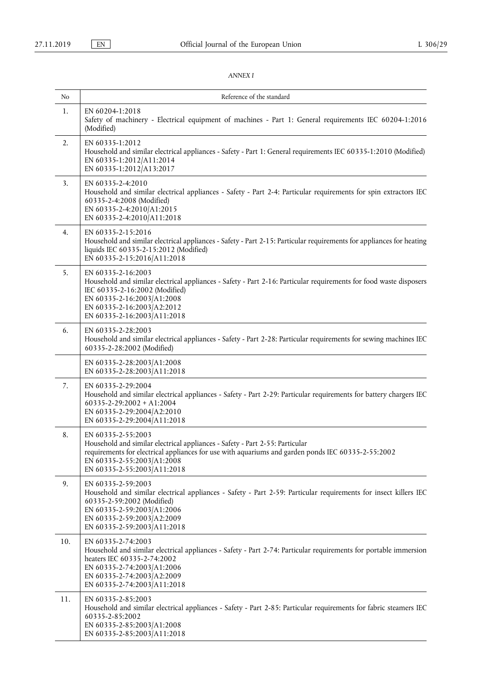# *ANNEX I*

| No  | Reference of the standard                                                                                                                                                                                                                                             |  |  |
|-----|-----------------------------------------------------------------------------------------------------------------------------------------------------------------------------------------------------------------------------------------------------------------------|--|--|
| 1.  | EN 60204-1:2018<br>Safety of machinery - Electrical equipment of machines - Part 1: General requirements IEC 60204-1:2016<br>(Modified)                                                                                                                               |  |  |
| 2.  | EN 60335-1:2012<br>Household and similar electrical appliances - Safety - Part 1: General requirements IEC 60335-1:2010 (Modified)<br>EN 60335-1:2012/A11:2014<br>EN 60335-1:2012/A13:2017                                                                            |  |  |
| 3.  | EN 60335-2-4:2010<br>Household and similar electrical appliances - Safety - Part 2-4: Particular requirements for spin extractors IEC<br>60335-2-4:2008 (Modified)<br>EN 60335-2-4:2010/A1:2015<br>EN 60335-2-4:2010/A11:2018                                         |  |  |
| 4.  | EN 60335-2-15:2016<br>Household and similar electrical appliances - Safety - Part 2-15: Particular requirements for appliances for heating<br>liquids IEC 60335-2-15:2012 (Modified)<br>EN 60335-2-15:2016/A11:2018                                                   |  |  |
| 5.  | EN 60335-2-16:2003<br>Household and similar electrical appliances - Safety - Part 2-16: Particular requirements for food waste disposers<br>IEC 60335-2-16:2002 (Modified)<br>EN 60335-2-16:2003/A1:2008<br>EN 60335-2-16:2003/A2:2012<br>EN 60335-2-16:2003/A11:2018 |  |  |
| 6.  | EN 60335-2-28:2003<br>Household and similar electrical appliances - Safety - Part 2-28: Particular requirements for sewing machines IEC<br>60335-2-28:2002 (Modified)                                                                                                 |  |  |
|     | EN 60335-2-28:2003/A1:2008<br>EN 60335-2-28:2003/A11:2018                                                                                                                                                                                                             |  |  |
| 7.  | EN 60335-2-29:2004<br>Household and similar electrical appliances - Safety - Part 2-29: Particular requirements for battery chargers IEC<br>$60335 - 2 - 29:2002 + A1:2004$<br>EN 60335-2-29:2004/A2:2010<br>EN 60335-2-29:2004/A11:2018                              |  |  |
| 8.  | EN 60335-2-55:2003<br>Household and similar electrical appliances - Safety - Part 2-55: Particular<br>requirements for electrical appliances for use with aquariums and garden ponds IEC 60335-2-55:2002<br>EN 60335-2-55:2003/A1:2008<br>EN 60335-2-55:2003/A11:2018 |  |  |
| 9.  | EN 60335-2-59:2003<br>Household and similar electrical appliances - Safety - Part 2-59: Particular requirements for insect killers IEC<br>60335-2-59:2002 (Modified)<br>EN 60335-2-59:2003/A1:2006<br>EN 60335-2-59:2003/A2:2009<br>EN 60335-2-59:2003/A11:2018       |  |  |
| 10. | EN 60335-2-74:2003<br>Household and similar electrical appliances - Safety - Part 2-74: Particular requirements for portable immersion<br>heaters IEC 60335-2-74:2002<br>EN 60335-2-74:2003/A1:2006<br>EN 60335-2-74:2003/A2:2009<br>EN 60335-2-74:2003/A11:2018      |  |  |
| 11. | EN 60335-2-85:2003<br>Household and similar electrical appliances - Safety - Part 2-85: Particular requirements for fabric steamers IEC<br>60335-2-85:2002<br>EN 60335-2-85:2003/A1:2008<br>EN 60335-2-85:2003/A11:2018                                               |  |  |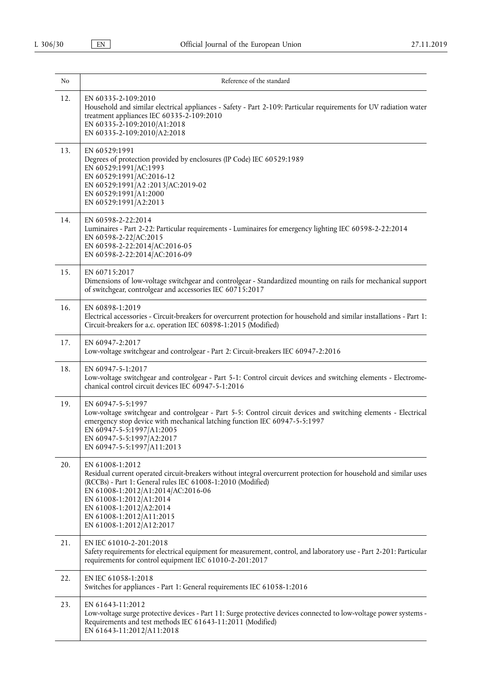| No  | Reference of the standard                                                                                                                                                                                                                                                                                                                               |  |  |
|-----|---------------------------------------------------------------------------------------------------------------------------------------------------------------------------------------------------------------------------------------------------------------------------------------------------------------------------------------------------------|--|--|
| 12. | EN 60335-2-109:2010<br>Household and similar electrical appliances - Safety - Part 2-109: Particular requirements for UV radiation water<br>treatment appliances IEC 60335-2-109:2010<br>EN 60335-2-109:2010/A1:2018<br>EN 60335-2-109:2010/A2:2018                                                                                                     |  |  |
| 13. | EN 60529:1991<br>Degrees of protection provided by enclosures (IP Code) IEC 60529:1989<br>EN 60529:1991/AC:1993<br>EN 60529:1991/AC:2016-12<br>EN 60529:1991/A2 :2013/AC:2019-02<br>EN 60529:1991/A1:2000<br>EN 60529:1991/A2:2013                                                                                                                      |  |  |
| 14. | EN 60598-2-22:2014<br>Luminaires - Part 2-22: Particular requirements - Luminaires for emergency lighting IEC 60598-2-22:2014<br>EN 60598-2-22/AC:2015<br>EN 60598-2-22:2014/AC:2016-05<br>EN 60598-2-22:2014/AC:2016-09                                                                                                                                |  |  |
| 15. | EN 60715:2017<br>Dimensions of low-voltage switchgear and controlgear - Standardized mounting on rails for mechanical support<br>of switchgear, controlgear and accessories IEC 60715:2017                                                                                                                                                              |  |  |
| 16. | EN 60898-1:2019<br>Electrical accessories - Circuit-breakers for overcurrent protection for household and similar installations - Part 1:<br>Circuit-breakers for a.c. operation IEC 60898-1:2015 (Modified)                                                                                                                                            |  |  |
| 17. | EN 60947-2:2017<br>Low-voltage switchgear and controlgear - Part 2: Circuit-breakers IEC 60947-2:2016                                                                                                                                                                                                                                                   |  |  |
| 18. | EN 60947-5-1:2017<br>Low-voltage switchgear and controlgear - Part 5-1: Control circuit devices and switching elements - Electrome-<br>chanical control circuit devices IEC 60947-5-1:2016                                                                                                                                                              |  |  |
| 19. | EN 60947-5-5:1997<br>Low-voltage switchgear and controlgear - Part 5-5: Control circuit devices and switching elements - Electrical<br>emergency stop device with mechanical latching function IEC 60947-5-5:1997<br>EN 60947-5-5:1997/A1:2005<br>EN 60947-5-5:1997/A2:2017<br>EN 60947-5-5:1997 A11:2013                                               |  |  |
| 20. | EN 61008-1:2012<br>Residual current operated circuit-breakers without integral overcurrent protection for household and similar uses<br>(RCCBs) - Part 1: General rules IEC 61008-1:2010 (Modified)<br>EN 61008-1:2012/A1:2014/AC:2016-06<br>EN 61008-1:2012/A1:2014<br>EN 61008-1:2012/A2:2014<br>EN 61008-1:2012/A11:2015<br>EN 61008-1:2012/A12:2017 |  |  |
| 21. | EN IEC 61010-2-201:2018<br>Safety requirements for electrical equipment for measurement, control, and laboratory use - Part 2-201: Particular<br>requirements for control equipment IEC 61010-2-201:2017                                                                                                                                                |  |  |
| 22. | EN IEC 61058-1:2018<br>Switches for appliances - Part 1: General requirements IEC 61058-1:2016                                                                                                                                                                                                                                                          |  |  |
| 23. | EN 61643-11:2012<br>Low-voltage surge protective devices - Part 11: Surge protective devices connected to low-voltage power systems -<br>Requirements and test methods IEC 61643-11:2011 (Modified)<br>EN 61643-11:2012/A11:2018                                                                                                                        |  |  |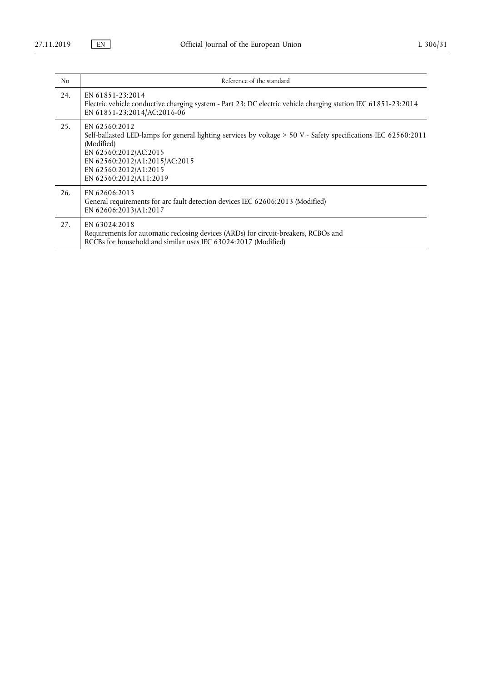| N <sub>o</sub> | Reference of the standard                                                                                                                                                                                                                                   |  |
|----------------|-------------------------------------------------------------------------------------------------------------------------------------------------------------------------------------------------------------------------------------------------------------|--|
| 24.            | EN 61851-23:2014<br>Electric vehicle conductive charging system - Part 23: DC electric vehicle charging station IEC 61851-23:2014<br>EN 61851-23:2014/AC:2016-06                                                                                            |  |
| 25.            | EN 62560:2012<br>Self-ballasted LED-lamps for general lighting services by voltage > 50 V - Safety specifications IEC 62560:2011<br>(Modified)<br>EN 62560:2012/AC:2015<br>EN 62560:2012/A1:2015/AC:2015<br>EN 62560:2012/A1:2015<br>EN 62560:2012/A11:2019 |  |
| 26.            | EN 62606:2013<br>General requirements for arc fault detection devices IEC 62606:2013 (Modified)<br>EN 62606:2013/A1:2017                                                                                                                                    |  |
| 27.            | EN 63024:2018<br>Requirements for automatic reclosing devices (ARDs) for circuit-breakers, RCBOs and<br>RCCBs for household and similar uses IEC 63024:2017 (Modified)                                                                                      |  |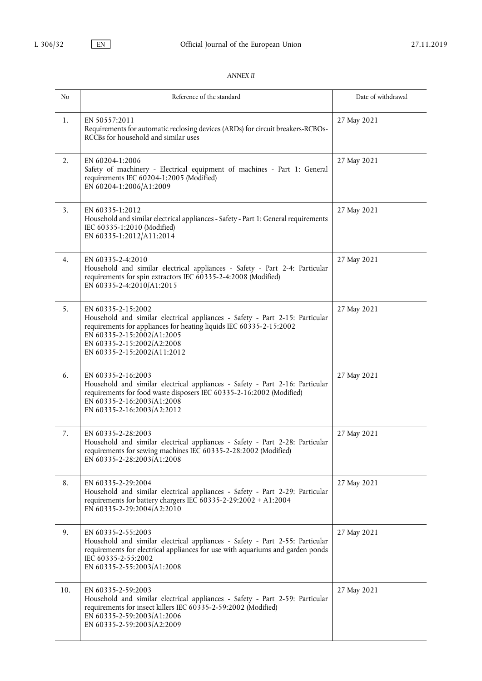# *ANNEX II*

| No  | Reference of the standard                                                                                                                                                                                                                                            | Date of withdrawal |
|-----|----------------------------------------------------------------------------------------------------------------------------------------------------------------------------------------------------------------------------------------------------------------------|--------------------|
| 1.  | EN 50557:2011<br>Requirements for automatic reclosing devices (ARDs) for circuit breakers-RCBOs-<br>RCCBs for household and similar uses                                                                                                                             | 27 May 2021        |
| 2.  | EN 60204-1:2006<br>Safety of machinery - Electrical equipment of machines - Part 1: General<br>requirements IEC 60204-1:2005 (Modified)<br>EN 60204-1:2006/A1:2009                                                                                                   | 27 May 2021        |
| 3.  | EN 60335-1:2012<br>Household and similar electrical appliances - Safety - Part 1: General requirements<br>IEC 60335-1:2010 (Modified)<br>EN 60335-1:2012/A11:2014                                                                                                    | 27 May 2021        |
| 4.  | EN 60335-2-4:2010<br>Household and similar electrical appliances - Safety - Part 2-4: Particular<br>requirements for spin extractors IEC 60335-2-4:2008 (Modified)<br>EN 60335-2-4:2010/A1:2015                                                                      | 27 May 2021        |
| 5.  | EN 60335-2-15:2002<br>Household and similar electrical appliances - Safety - Part 2-15: Particular<br>requirements for appliances for heating liquids IEC 60335-2-15:2002<br>EN 60335-2-15:2002/A1:2005<br>EN 60335-2-15:2002/A2:2008<br>EN 60335-2-15:2002/A11:2012 | 27 May 2021        |
| 6.  | EN 60335-2-16:2003<br>Household and similar electrical appliances - Safety - Part 2-16: Particular<br>requirements for food waste disposers IEC 60335-2-16:2002 (Modified)<br>EN 60335-2-16:2003/A1:2008<br>EN 60335-2-16:2003/A2:2012                               | 27 May 2021        |
| 7.  | EN 60335-2-28:2003<br>Household and similar electrical appliances - Safety - Part 2-28: Particular<br>requirements for sewing machines IEC 60335-2-28:2002 (Modified)<br>EN 60335-2-28:2003/A1:2008                                                                  | 27 May 2021        |
| 8.  | EN 60335-2-29:2004<br>Household and similar electrical appliances - Safety - Part 2-29: Particular<br>requirements for battery chargers IEC 60335-2-29:2002 + A1:2004<br>EN 60335-2-29:2004/A2:2010                                                                  | 27 May 2021        |
| 9.  | EN 60335-2-55:2003<br>Household and similar electrical appliances - Safety - Part 2-55: Particular<br>requirements for electrical appliances for use with aquariums and garden ponds<br>IEC 60335-2-55:2002<br>EN 60335-2-55:2003/A1:2008                            | 27 May 2021        |
| 10. | EN 60335-2-59:2003<br>Household and similar electrical appliances - Safety - Part 2-59: Particular<br>requirements for insect killers IEC 60335-2-59:2002 (Modified)<br>EN 60335-2-59:2003/A1:2006<br>EN 60335-2-59:2003/A2:2009                                     | 27 May 2021        |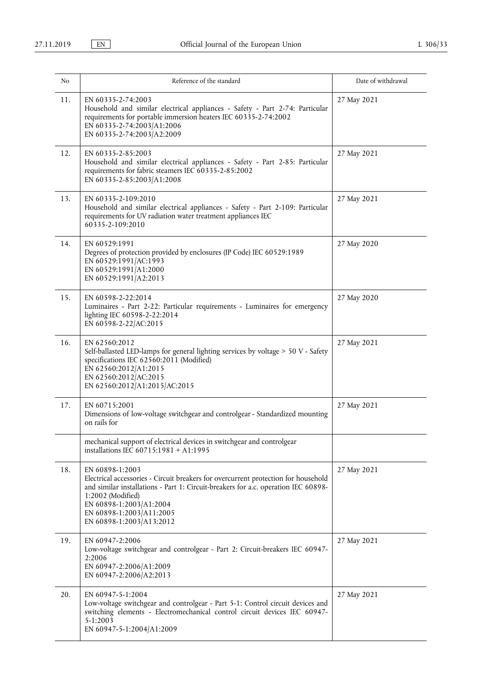| N <sub>0</sub> | Reference of the standard                                                                                                                                                                                                                                                                           | Date of withdrawal |
|----------------|-----------------------------------------------------------------------------------------------------------------------------------------------------------------------------------------------------------------------------------------------------------------------------------------------------|--------------------|
| 11.            | EN 60335-2-74:2003<br>Household and similar electrical appliances - Safety - Part 2-74: Particular<br>requirements for portable immersion heaters IEC 60335-2-74:2002<br>EN 60335-2-74:2003/A1:2006<br>EN 60335-2-74:2003/A2:2009                                                                   | 27 May 2021        |
| 12.            | EN 60335-2-85:2003<br>Household and similar electrical appliances - Safety - Part 2-85: Particular<br>requirements for fabric steamers IEC 60335-2-85:2002<br>EN 60335-2-85:2003/A1:2008                                                                                                            | 27 May 2021        |
| 13.            | EN 60335-2-109:2010<br>Household and similar electrical appliances - Safety - Part 2-109: Particular<br>requirements for UV radiation water treatment appliances IEC<br>60335-2-109:2010                                                                                                            | 27 May 2021        |
| 14.            | EN 60529:1991<br>Degrees of protection provided by enclosures (IP Code) IEC 60529:1989<br>EN 60529:1991/AC:1993<br>EN 60529:1991/A1:2000<br>EN 60529:1991/A2:2013                                                                                                                                   | 27 May 2020        |
| 15.            | EN 60598-2-22:2014<br>Luminaires - Part 2-22: Particular requirements - Luminaires for emergency<br>lighting IEC 60598-2-22:2014<br>EN 60598-2-22/AC:2015                                                                                                                                           | 27 May 2020        |
| 16.            | EN 62560:2012<br>Self-ballasted LED-lamps for general lighting services by voltage > 50 V - Safety<br>specifications IEC 62560:2011 (Modified)<br>EN 62560:2012/A1:2015<br>EN 62560:2012/AC:2015<br>EN 62560:2012/A1:2015/AC:2015                                                                   | 27 May 2021        |
| 17.            | EN 60715:2001<br>Dimensions of low-voltage switchgear and controlgear - Standardized mounting<br>on rails for                                                                                                                                                                                       | 27 May 2021        |
|                | mechanical support of electrical devices in switchgear and controlgear<br>installations IEC 60715:1981 + A1:1995                                                                                                                                                                                    |                    |
| 18.            | EN 60898-1:2003<br>Electrical accessories - Circuit breakers for overcurrent protection for household<br>and similar installations - Part 1: Circuit-breakers for a.c. operation IEC 60898-<br>1:2002 (Modified)<br>EN 60898-1:2003/A1:2004<br>EN 60898-1:2003/A11:2005<br>EN 60898-1:2003/A13:2012 | 27 May 2021        |
| 19.            | EN 60947-2:2006<br>Low-voltage switchgear and controlgear - Part 2: Circuit-breakers IEC 60947-<br>2:2006<br>EN 60947-2:2006/A1:2009<br>EN 60947-2:2006/A2:2013                                                                                                                                     | 27 May 2021        |
| 20.            | EN 60947-5-1:2004<br>Low-voltage switchgear and controlgear - Part 5-1: Control circuit devices and<br>switching elements - Electromechanical control circuit devices IEC 60947-<br>5-1:2003<br>EN 60947-5-1:2004/A1:2009                                                                           | 27 May 2021        |

ı